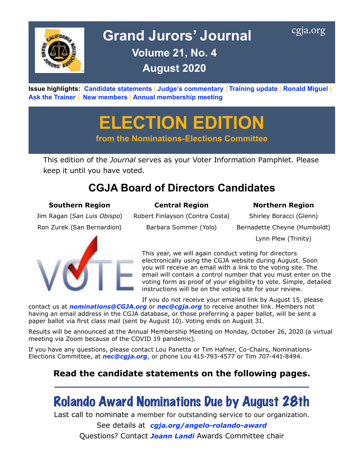

# Grand Jurors' Journal [cgja.org](http://cgja.org) **Volume 21, No. 4 August 2020**

**Issue highlights: [Candidate statements](#page-1-0) | [Judge's commentary](#page-4-0) | [Training update](#page-5-0) | [Ronald Miguel](#page-6-0) | [Ask the Trainer](#page-7-0) | [New members](#page-8-0) | [Annual membership meeting](#page-9-0)**

**ELECTION EDITION**

**from the Nominations-Elections Committee**

This edition of the *Journal* serves as your Voter Information Pamphlet. Please keep it until you have voted.

# **CGJA Board of Directors Candidates**

### **Southern Region Central Region Northern Region**

Ron Zurek (San Bernardion) Barbara Sommer (Yolo) Bernadette Cheyne (Humboldt)



Jim Ragan (*San Luis Obispo*) Robert Finlayson (Contra Costa) Shirley Boracci (Glenn)

Lynn Plew (Trinity)

This year, we will again conduct voting for directors electronically using the CGJA website during August. Soon you will receive an email with a link to the voting site. The email will contain a control number that you must enter on the voting form as proof of your eligibility to vote. Simple, detailed instructions will be on the voting site for your review.

If you do not receive your emailed link by August 15, please

contact us at *[nominations@CGJA.org](mailto:nominations%40CGJA.org?subject=CGJA%20election)* or *[nec@cgja.org](mailto:nec%40cgja.org?subject=CGJA%20election)* to receive another link. Members not having an email address in the CGJA database, or those preferring a paper ballot, will be sent a paper ballot via first class mail (sent by August 10). Voting ends on August 31.

Results will be announced at the Annual Membership Meeting on Monday, October 26, 2020 (a virtual meeting via Zoom because of the COVID 19 pandemic).

If you have any questions, please contact Lou Panetta or Tim Hafner, Co-Chairs, Nominations-Elections Committee, at *[nec@cgja.org](mailto:nec%40cgja.org?subject=CGJA%20election)*, or phone Lou 415-793-4577 or Tim 707-441-8494.

## **Read the candidate statements on the following pages.**

# Rolando Award Nominations Due by August 28th

Last call to nominate a member for outstanding service to our organization.

See details at *[cgja.org/angelo-rolando-award](http://cgja.org/angelo-rolando-award)* Questions? Contact *[Joann Landi](mailto:joannelandi%40aol.com?subject=CGJA%20Rolando%20Service%20Award)* Awards Committee chair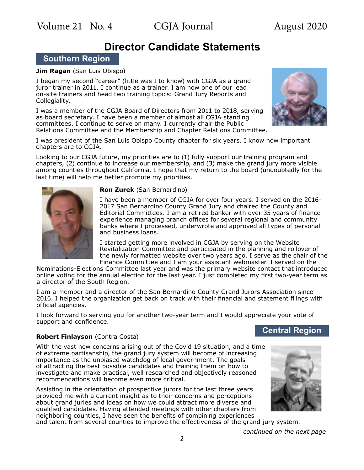## **Director Candidate Statements**

### <span id="page-1-0"></span>**Southern Region**

#### **Jim Ragan** (San Luis Obispo)

I began my second "career" (little was I to know) with CGJA as a grand juror trainer in 2011. I continue as a trainer. I am now one of our lead on-site trainers and head two training topics: Grand Jury Reports and Collegiality.

I was a member of the CGJA Board of Directors from 2011 to 2018, serving as board secretary. I have been a member of almost all CGJA standing committees. I continue to serve on many. I currently chair the Public Relations Committee and the Membership and Chapter Relations Committee.



I was president of the San Luis Obispo County chapter for six years. I know how important chapters are to CGJA.

Looking to our CGJA future, my priorities are to (1) fully support our training program and chapters, (2) continue to increase our membership, and (3) make the grand jury more visible among counties throughout California. I hope that my return to the board (undoubtedly for the last time) will help me better promote my priorities.



#### **Ron Zurek** (San Bernardino)

I have been a member of CGJA for over four years. I served on the 2016- 2017 San Bernardino County Grand Jury and chaired the County and Editorial Committees. I am a retired banker with over 35 years of finance experience managing branch offices for several regional and community banks where I processed, underwrote and approved all types of personal and business loans.

I started getting more involved in CGJA by serving on the Website Revitalization Committee and participated in the planning and rollover of the newly formatted website over two years ago. I serve as the chair of the Finance Committee and I am your assistant webmaster. I served on the

Nominations-Elections Committee last year and was the primary website contact that introduced online voting for the annual election for the last year. I just completed my first two-year term as a director of the South Region.

I am a member and a director of the San Bernardino County Grand Jurors Association since 2016. I helped the organization get back on track with their financial and statement filings with official agencies.

I look forward to serving you for another two-year term and I would appreciate your vote of support and confidence.

# **Central Region Robert Finlayson** (Contra Costa)

With the vast new concerns arising out of the Covid 19 situation, and a time of extreme partisanship, the grand jury system will become of increasing importance as the unbiased watchdog of local government. The goals of attracting the best possible candidates and training them on how to investigate and make practical, well researched and objectively reasoned recommendations will become even more critical.

Assisting in the orientation of prospective jurors for the last three years provided me with a current insight as to their concerns and perceptions about grand juries and ideas on how we could attract more diverse and qualified candidates. Having attended meetings with other chapters from neighboring counties, I have seen the benefits of combining experiences



and talent from several counties to improve the effectiveness of the grand jury system.

*continued on the next page*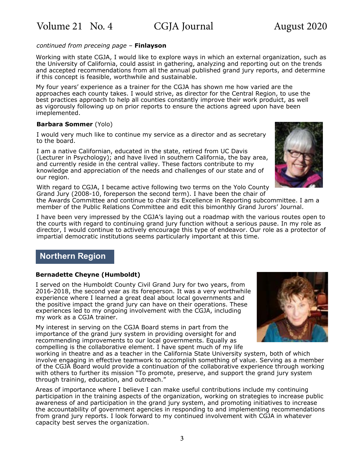#### *continued from preceing page –* **Finlayson**

Working with state CGJA, I would like to explore ways in which an external organization, such as the University of California, could assist in gathering, analyzing and reporting out on the trends and accepted recommendations from all the annual published grand jury reports, and determine if this concept is feasible, worthwhile and sustainable.

My four years' experience as a trainer for the CGJA has shown me how varied are the approaches each county takes. I would strive, as director for the Central Region, to use the best practices approach to help all counties constantly improve their work produict, as well as vigorously following up on prior reports to ensure the actions agreed upon have been imeplemented.

#### **Barbara Sommer** (Yolo)

I would very much like to continue my service as a director and as secretary to the board.

I am a native Californian, educated in the state, retired from UC Davis (Lecturer in Psychology); and have lived in southern California, the bay area, and currently reside in the central valley. These factors contribute to my knowledge and appreciation of the needs and challenges of our state and of our region.

With regard to CGJA, I became active following two terms on the Yolo County Grand Jury (2008-10, foreperson the second term). I have been the chair of

the Awards Committee and continue to chair its Excellence in Reporting subcommittee. I am a member of the Public Relations Committee and edit this bimonthly Grand Jurors' Journal.

I have been very impressed by the CGJA's laying out a roadmap with the various routes open to the courts with regard to continuing grand jury function without a serious pause. In my role as director, I would continue to actively encourage this type of endeavor. Our role as a protector of impartial democratic institutions seems particularly important at this time.

### **Northern Region**

### **Bernadette Cheyne (Humboldt)**

I served on the Humboldt County Civil Grand Jury for two years, from 2016-2018, the second year as its foreperson. It was a very worthwhile experience where I learned a great deal about local governments and the positive impact the grand jury can have on their operations. These experiences led to my ongoing involvement with the CGJA, including my work as a CGJA trainer.

My interest in serving on the CGJA Board stems in part from the importance of the grand jury system in providing oversight for and recommending improvements to our local governments. Equally as compelling is the collaborative element. I have spent much of my life

working in theatre and as a teacher in the California State University system, both of which involve engaging in effective teamwork to accomplish something of value. Serving as a member of the CGJA Board would provide a continuation of the collaborative experience through working with others to further its mission "To promote, preserve, and support the grand jury system through training, education, and outreach."

Areas of importance where I believe I can make useful contributions include my continuing participation in the training aspects of the organization, working on strategies to increase public awareness of and participation in the grand jury system, and promoting initiatives to increase the accountability of government agencies in responding to and implementing recommendations from grand jury reports. I look forward to my continued involvement with CGJA in whatever capacity best serves the organization.



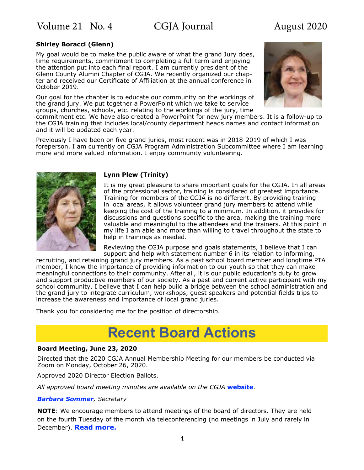Volume 21 No. 4 CGJA Journal August 2020

#### **Shirley Boracci (Glenn)**

My goal would be to make the public aware of what the grand Jury does, time requirements, commitment to completing a full term and enjoying the attention put into each final report. I am currently president of the Glenn County Alumni Chapter of CGJA. We recently organized our chapter and received our Certificate of Affiliation at the annual conference in October 2019.

Our goal for the chapter is to educate our community on the workings of the grand jury. We put together a PowerPoint which we take to service groups, churches, schools, etc. relating to the workings of the jury, time



commitment etc. We have also created a PowerPoint for new jury members. It is a follow-up to the CGJA training that includes local/county department heads names and contact information and it will be updated each year.

Previously I have been on five grand juries, most recent was in 2018-2019 of which I was foreperson. I am currently on CGJA Program Administration Subcommittee where I am learning more and more valued information. I enjoy community volunteering.



#### **Lynn Plew (Trinity)**

It is my great pleasure to share important goals for the CGJA. In all areas of the professional sector, training is considered of greatest importance. Training for members of the CGJA is no different. By providing training in local areas, it allows volunteer grand jury members to attend while keeping the cost of the training to a minimum. In addition, it provides for discussions and questions specific to the area, making the training more valuable and meaningful to the attendees and the trainers. At this point in my life I am able and more than willing to travel throughout the state to help in trainings as needed.

Reviewing the CGJA purpose and goals statements, I believe that I can support and help with statement number 6 in its relation to informing,

recruiting, and retaining grand jury members. As a past school board member and longtime PTA member, I know the importance of providing information to our youth so that they can make meaningful connections to their community. After all, it is our public education's duty to grow and support productive members of our society. As a past and current active participant with my school community, I believe that I can help build a bridge between the school administration and the grand jury to integrate curriculum, workshops, guest speakers and potential fields trips to increase the awareness and importance of local grand juries.

Thank you for considering me for the position of directorship.

# **Recent Board Actions**

#### **Board Meeting, June 23, 2020**

Directed that the 2020 CGJA Annual Membership Meeting for our members be conducted via Zoom on Monday, October 26, 2020.

Approved 2020 Director Election Ballots.

*All approved board meeting minutes are available on the CGJA* **[website](https://cgja.org/board-minutes)***.*

#### *[Barbara Sommer](mailto:basommer%40ucdavis.edu?subject=CGJA%20Secretary), Secretary*

**NOTE**: We encourage members to attend meetings of the board of directors. They are held on the fourth Tuesday of the month via teleconferencing (no meetings in July and rarely in December). **[Read more](https://cgja.org/current-agenda).**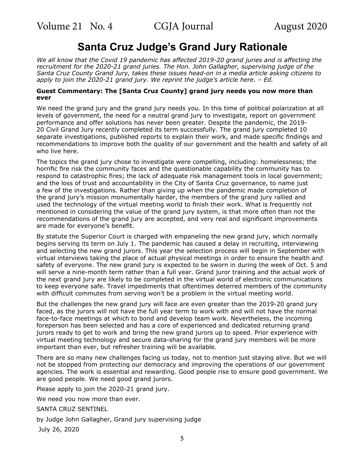## **Santa Cruz Judge's Grand Jury Rationale**

<span id="page-4-0"></span>*We all know that the Covid 19 pandemic has affected 2019-20 grand juries and is affecting the recruitment for the 2020-21 grand juries. The Hon. John Gallagher, supervising judge of the Santa Cruz County Grand Jury, takes these issues head-on in a media article asking citizens to apply to join the 2020-21 grand jury. We reprint the judge's article here. – Ed.*

#### **Guest Commentary: The [Santa Cruz County] grand jury needs you now more than ever**

We need the grand jury and the grand jury needs you. In this time of political polarization at all levels of government, the need for a neutral grand jury to investigate, report on government performance and offer solutions has never been greater. Despite the pandemic, the 2019- 20 Civil Grand Jury recently completed its term successfully. The grand jury completed 10 separate investigations, published reports to explain their work, and made specific findings and recommendations to improve both the quality of our government and the health and safety of all who live here.

The topics the grand jury chose to investigate were compelling, including: homelessness; the horrific fire risk the community faces and the questionable capability the community has to respond to catastrophic fires; the lack of adequate risk management tools in local government; and the loss of trust and accountability in the City of Santa Cruz governance, to name just a few of the investigations. Rather than giving up when the pandemic made completion of the grand jury's mission monumentally harder, the members of the grand jury rallied and used the technology of the virtual meeting world to finish their work. What is frequently not mentioned in considering the value of the grand jury system, is that more often than not the recommendations of the grand jury are accepted, and very real and significant improvements are made for everyone's benefit.

By statute the Superior Court is charged with empaneling the new grand jury, which normally begins serving its term on July 1. The pandemic has caused a delay in recruiting, interviewing and selecting the new grand jurors. This year the selection process will begin in September with virtual interviews taking the place of actual physical meetings in order to ensure the health and safety of everyone. The new grand jury is expected to be sworn in during the week of Oct. 5 and will serve a nine-month term rather than a full year. Grand juror training and the actual work of the next grand jury are likely to be completed in the virtual world of electronic communications to keep everyone safe. Travel impediments that oftentimes deterred members of the community with difficult commutes from serving won't be a problem in the virtual meeting world.

But the challenges the new grand jury will face are even greater than the 2019-20 grand jury faced, as the jurors will not have the full year term to work with and will not have the normal face-to-face meetings at which to bond and develop team work. Nevertheless, the incoming foreperson has been selected and has a core of experienced and dedicated returning grand jurors ready to get to work and bring the new grand jurors up to speed. Prior experience with virtual meeting technology and secure data-sharing for the grand jury members will be more important than ever, but refresher training will be available.

There are so many new challenges facing us today, not to mention just staying alive. But we will not be stopped from protecting our democracy and improving the operations of our government agencies. The work is essential and rewarding. Good people rise to ensure good government. We are good people. We need good grand jurors.

Please apply to join the 2020-21 grand jury.

We need you now more than ever.

SANTA CRUZ SENTINEL

by Judge John Gallagher, Grand jury supervising judge

July 26, 2020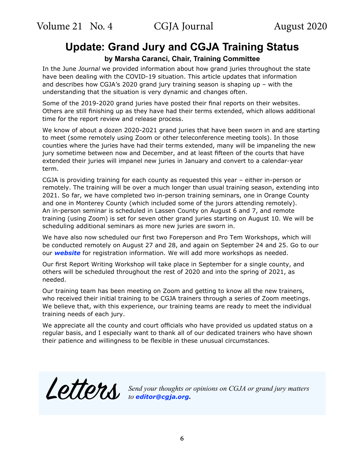# <span id="page-5-0"></span>**Update: Grand Jury and CGJA Training Status**

**by Marsha Caranci, Chair, Training Committee**

In the June *Journal* we provided information about how grand juries throughout the state have been dealing with the COVID-19 situation. This article updates that information and describes how CGJA's 2020 grand jury training season is shaping up – with the understanding that the situation is very dynamic and changes often.

Some of the 2019-2020 grand juries have posted their final reports on their websites. Others are still finishing up as they have had their terms extended, which allows additional time for the report review and release process.

We know of about a dozen 2020-2021 grand juries that have been sworn in and are starting to meet (some remotely using Zoom or other teleconference meeting tools). In those counties where the juries have had their terms extended, many will be impaneling the new jury sometime between now and December, and at least fifteen of the courts that have extended their juries will impanel new juries in January and convert to a calendar-year term.

CGJA is providing training for each county as requested this year – either in-person or remotely. The training will be over a much longer than usual training season, extending into 2021. So far, we have completed two in-person training seminars, one in Orange County and one in Monterey County (which included some of the jurors attending remotely). An in-person seminar is scheduled in Lassen County on August 6 and 7, and remote training (using Zoom) is set for seven other grand juries starting on August 10. We will be scheduling additional seminars as more new juries are sworn in.

We have also now scheduled our first two Foreperson and Pro Tem Workshops, which will be conducted remotely on August 27 and 28, and again on September 24 and 25. Go to our our *[website](https://cgja.org/training-general-information)* for registration information. We will add more workshops as needed.

Our first Report Writing Workshop will take place in September for a single county, and others will be scheduled throughout the rest of 2020 and into the spring of 2021, as needed.

Our training team has been meeting on Zoom and getting to know all the new trainers, who received their initial training to be CGJA trainers through a series of Zoom meetings. We believe that, with this experience, our training teams are ready to meet the individual training needs of each jury.

We appreciate all the county and court officials who have provided us updated status on a regular basis, and I especially want to thank all of our dedicated trainers who have shown their patience and willingness to be flexible in these unusual circumstances.



Letters *Send your thoughts or opinions on CGJA or grand jury matters to [editor@cgja.org](mailto:editor%40cgja.org?subject=)***.**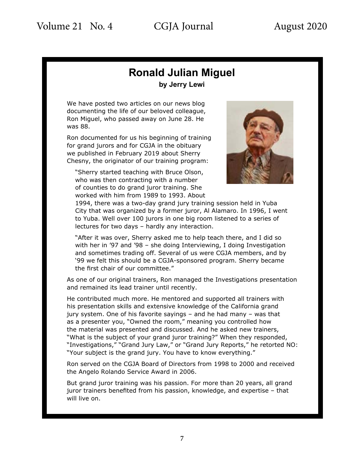## **Ronald Julian Miguel by Jerry Lewi**

<span id="page-6-0"></span>We have posted two articles on our news blog documenting the life of our beloved colleague, Ron Miguel, who passed away on June 28. He was 88.

Ron documented for us his beginning of training for grand jurors and for CGJA in the obituary we published in February 2019 about Sherry Chesny, the originator of our training program:

"Sherry started teaching with Bruce Olson, who was then contracting with a number of counties to do grand juror training. She worked with him from 1989 to 1993. About



1994, there was a two-day grand jury training session held in Yuba City that was organized by a former juror, Al Alamaro. In 1996, I went to Yuba. Well over 100 jurors in one big room listened to a series of lectures for two days – hardly any interaction.

"After it was over, Sherry asked me to help teach there, and I did so with her in '97 and '98 – she doing Interviewing, I doing Investigation and sometimes trading off. Several of us were CGJA members, and by '99 we felt this should be a CGJA-sponsored program. Sherry became the first chair of our committee."

As one of our original trainers, Ron managed the Investigations presentation and remained its lead trainer until recently.

He contributed much more. He mentored and supported all trainers with his presentation skills and extensive knowledge of the California grand jury system. One of his favorite sayings – and he had many – was that as a presenter you, "Owned the room," meaning you controlled how the material was presented and discussed. And he asked new trainers, "What is the subject of your grand juror training?" When they responded, "Investigations," "Grand Jury Law," or "Grand Jury Reports," he retorted NO: "Your subject is the grand jury. You have to know everything."

Ron served on the CGJA Board of Directors from 1998 to 2000 and received the Angelo Rolando Service Award in 2006.

But grand juror training was his passion. For more than 20 years, all grand juror trainers benefited from his passion, knowledge, and expertise – that will live on.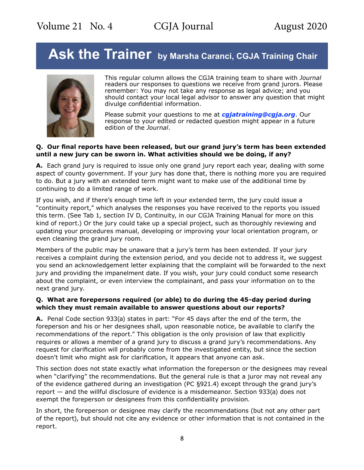# <span id="page-7-0"></span>Ask the Trainer by Marsha Caranci, CGJA Training Chair



This regular column allows the CGJA training team to share with *Journal* readers our responses to questions we receive from grand jurors. Please remember: You may not take any response as legal advice; and you should contact your local legal advisor to answer any question that might divulge confidential information.

Please submit your questions to me at *cgjatraining@cgja.org*. Our response to your edited or redacted question might appear in a future edition of the *Journal*.

#### **Q. Our final reports have been released, but our grand jury's term has been extended until a new jury can be sworn in. What activities should we be doing, if any?**

**A.** Each grand jury is required to issue only one grand jury report each year, dealing with some aspect of county government. If your jury has done that, there is nothing more you are required to do. But a jury with an extended term might want to make use of the additional time by continuing to do a limited range of work.

If you wish, and if there's enough time left in your extended term, the jury could issue a "continuity report," which analyses the responses you have received to the reports you issued this term. (See Tab 1, section IV D, Continuity, in our CGJA Training Manual for more on this kind of report.) Or the jury could take up a special project, such as thoroughly reviewing and updating your procedures manual, developing or improving your local orientation program, or even cleaning the grand jury room.

Members of the public may be unaware that a jury's term has been extended. If your jury receives a complaint during the extension period, and you decide not to address it, we suggest you send an acknowledgement letter explaining that the complaint will be forwarded to the next jury and providing the impanelment date. If you wish, your jury could conduct some research about the complaint, or even interview the complainant, and pass your information on to the next grand jury.

### **Q. What are forepersons required (or able) to do during the 45-day period during which they must remain available to answer questions about our reports?**

**A.** Penal Code section 933(a) states in part: "For 45 days after the end of the term, the foreperson and his or her designees shall, upon reasonable notice, be available to clarify the recommendations of the report." This obligation is the only provision of law that explicitly requires or allows a member of a grand jury to discuss a grand jury's recommendations. Any request for clarification will probably come from the investigated entity, but since the section doesn't limit who might ask for clarification, it appears that anyone can ask.

This section does not state exactly what information the foreperson or the designees may reveal when "clarifying" the recommendations. But the general rule is that a juror may not reveal any of the evidence gathered during an investigation (PC §921.4) except through the grand jury's report — and the willful disclosure of evidence is a misdemeanor. Section 933(a) does not exempt the foreperson or designees from this confidentiality provision.

In short, the foreperson or designee may clarify the recommendations (but not any other part of the report), but should not cite any evidence or other information that is not contained in the report.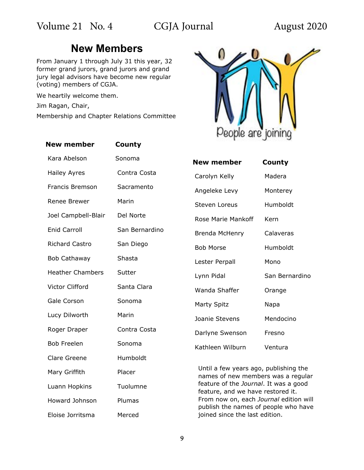# **New Members**

<span id="page-8-0"></span>From January 1 through July 31 this year, 32 former grand jurors, grand jurors and grand jury legal advisors have become new regular (voting) members of CGJA.

We heartily welcome them.

Jim Ragan, Chair,

Membership and Chapter Relations Committee





| New member         | County         |
|--------------------|----------------|
| Carolyn Kelly      | Madera         |
| Angeleke Levy      | Monterey       |
| Steven Loreus      | Humboldt       |
| Rose Marie Mankoff | Kern           |
| Brenda McHenry     | Calaveras      |
| <b>Bob Morse</b>   | Humboldt       |
| Lester Perpall     | Mono           |
| Lynn Pidal         | San Bernardino |
| Wanda Shaffer      | Orange         |
| Marty Spitz        | Napa           |
| Joanie Stevens     | Mendocino      |
| Darlyne Swenson    | Fresno         |
| Kathleen Wilburn   | Ventura        |

Until a few years ago, publishing the names of new members was a regular feature of the *Journal*. It was a good feature, and we have restored it. From now on, each *Journal* edition will publish the names of people who have joined since the last edition.